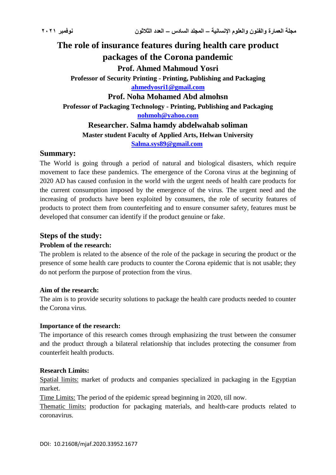# **The role of insurance features during health care product packages of the Corona pandemic Prof. Ahmed Mahmoud Yosri Professor of Security Printing - Printing, Publishing and Packaging [ahmedyosri1@gmail.com](mailto:ahmedyosri1@gmail.com) Prof. Noha Mohamed Abd almohsn Professor of Packaging Technology - Printing, Publishing and Packaging [nohmoh@yahoo.com](mailto:nohmoh@yahoo.com) Researcher. Salma hamdy abdelwahab soliman Master student Faculty of Applied Arts, Helwan University [Salma.sys89@gmail.com](mailto:Salma.sys89@gmail.com)**

#### **Summary:**

The World is going through a period of natural and biological disasters, which require movement to face these pandemics. The emergence of the Corona virus at the beginning of 2020 AD has caused confusion in the world with the urgent needs of health care products for the current consumption imposed by the emergence of the virus. The urgent need and the increasing of products have been exploited by consumers, the role of security features of products to protect them from counterfeiting and to ensure consumer safety, features must be developed that consumer can identify if the product genuine or fake.

### **Steps of the study:**

#### **Problem of the research:**

The problem is related to the absence of the role of the package in securing the product or the presence of some health care products to counter the Corona epidemic that is not usable; they do not perform the purpose of protection from the virus.

#### **Aim of the research:**

The aim is to provide security solutions to package the health care products needed to counter the Corona virus.

#### **Importance of the research:**

The importance of this research comes through emphasizing the trust between the consumer and the product through a bilateral relationship that includes protecting the consumer from counterfeit health products.

#### **Research Limits:**

Spatial limits: market of products and companies specialized in packaging in the Egyptian market.

Time Limits: The period of the epidemic spread beginning in 2020, till now.

Thematic limits: production for packaging materials, and health-care products related to coronavirus.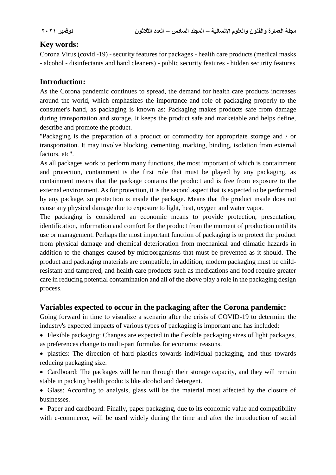## **Key words:**

Corona Virus (covid -19) - security features for packages - health care products (medical masks - alcohol - disinfectants and hand cleaners) - public security features - hidden security features

## **Introduction:**

As the Corona pandemic continues to spread, the demand for health care products increases around the world, which emphasizes the importance and role of packaging properly to the consumer's hand, as packaging is known as: Packaging makes products safe from damage during transportation and storage. It keeps the product safe and marketable and helps define, describe and promote the product.

"Packaging is the preparation of a product or commodity for appropriate storage and / or transportation. It may involve blocking, cementing, marking, binding, isolation from external factors, etc".

As all packages work to perform many functions, the most important of which is containment and protection, containment is the first role that must be played by any packaging, as containment means that the package contains the product and is free from exposure to the external environment. As for protection, it is the second aspect that is expected to be performed by any package, so protection is inside the package. Means that the product inside does not cause any physical damage due to exposure to light, heat, oxygen and water vapor.

The packaging is considered an economic means to provide protection, presentation, identification, information and comfort for the product from the moment of production until its use or management. Perhaps the most important function of packaging is to protect the product from physical damage and chemical deterioration from mechanical and climatic hazards in addition to the changes caused by microorganisms that must be prevented as it should. The product and packaging materials are compatible, in addition, modern packaging must be childresistant and tampered, and health care products such as medications and food require greater care in reducing potential contamination and all of the above play a role in the packaging design process.

## **Variables expected to occur in the packaging after the Corona pandemic:**

Going forward in time to visualize a scenario after the crisis of COVID-19 to determine the industry's expected impacts of various types of packaging is important and has included:

- Flexible packaging: Changes are expected in the flexible packaging sizes of light packages, as preferences change to multi-part formulas for economic reasons.
- plastics: The direction of hard plastics towards individual packaging, and thus towards reducing packaging size.
- Cardboard: The packages will be run through their storage capacity, and they will remain stable in packing health products like alcohol and detergent.
- Glass: According to analysis, glass will be the material most affected by the closure of **businesses**.

• Paper and cardboard: Finally, paper packaging, due to its economic value and compatibility with e-commerce, will be used widely during the time and after the introduction of social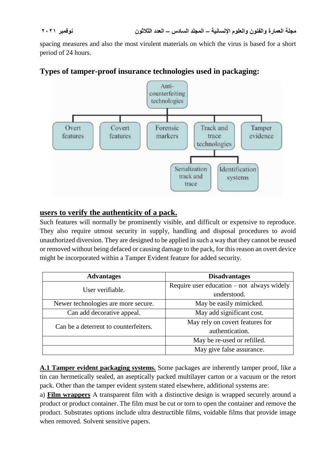spacing measures and also the most virulent materials on which the virus is based for a short period of 24 hours.

## **Types of tamper-proof insurance technologies used in packaging:**



## **users to verify the authenticity of a pack.**

Such features will normally be prominently visible, and difficult or expensive to reproduce. They also require utmost security in supply, handling and disposal procedures to avoid unauthorized diversion. They are designed to be applied in such a way that they cannot be reused or removed without being defaced or causing damage to the pack, for this reason an overt device might be incorporated within a Tamper Evident feature for added security.

| <b>Advantages</b>                     | <b>Disadvantages</b>                         |
|---------------------------------------|----------------------------------------------|
| User verifiable.                      | Require user education $-$ not always widely |
|                                       | understood.                                  |
| Newer technologies are more secure.   | May be easily mimicked.                      |
| Can add decorative appeal.            | May add significant cost.                    |
| Can be a deterrent to counterfeiters. | May rely on covert features for              |
|                                       | authentication.                              |
|                                       | May be re-used or refilled.                  |
|                                       | May give false assurance.                    |

**A.1 Tamper evident packaging systems.** Some packages are inherently tamper proof, like a tin can hermetically sealed, an aseptically packed multilayer carton or a vacuum or the retort pack. Other than the tamper evident system stated elsewhere, additional systems are:

a) **Film wrappers** A transparent film with a distinctive design is wrapped securely around a product or product container. The film must be cut or torn to open the container and remove the product. Substrates options include ultra destructible films, voidable films that provide image when removed. Solvent sensitive papers.